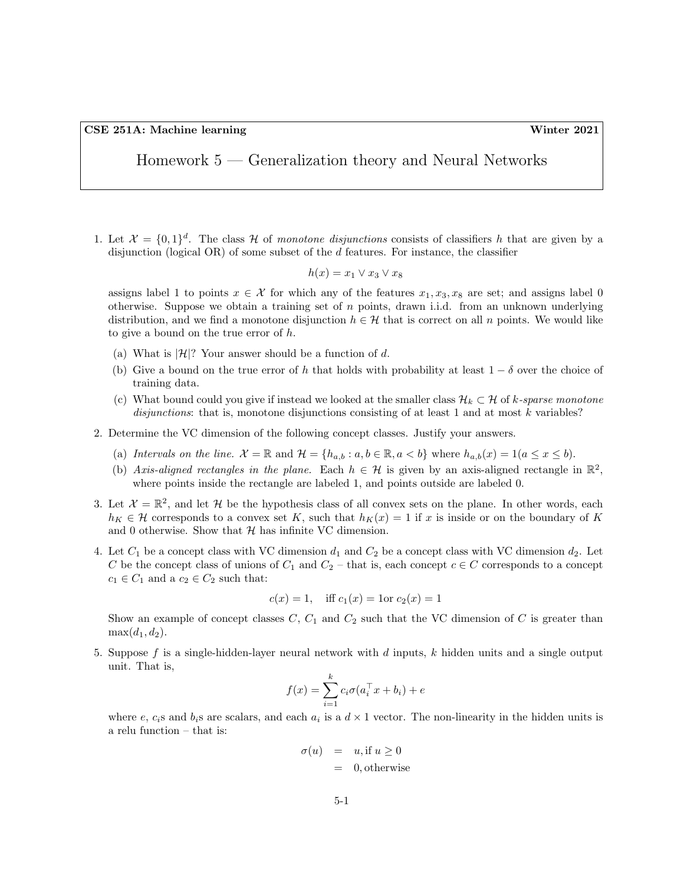CSE 251A: Machine learning Winter 2021

Homework 5 — Generalization theory and Neural Networks

1. Let  $\mathcal{X} = \{0,1\}^d$ . The class H of monotone disjunctions consists of classifiers h that are given by a disjunction (logical OR) of some subset of the d features. For instance, the classifier

$$
h(x) = x_1 \vee x_3 \vee x_8
$$

assigns label 1 to points  $x \in \mathcal{X}$  for which any of the features  $x_1, x_3, x_8$  are set; and assigns label 0 otherwise. Suppose we obtain a training set of  $n$  points, drawn i.i.d. from an unknown underlying distribution, and we find a monotone disjunction  $h \in \mathcal{H}$  that is correct on all n points. We would like to give a bound on the true error of h.

- (a) What is  $|\mathcal{H}|$ ? Your answer should be a function of d.
- (b) Give a bound on the true error of h that holds with probability at least  $1 \delta$  over the choice of training data.
- (c) What bound could you give if instead we looked at the smaller class  $\mathcal{H}_k \subset \mathcal{H}$  of k-sparse monotone disjunctions: that is, monotone disjunctions consisting of at least 1 and at most  $k$  variables?
- 2. Determine the VC dimension of the following concept classes. Justify your answers.
	- (a) Intervals on the line.  $\mathcal{X} = \mathbb{R}$  and  $\mathcal{H} = \{h_{a,b} : a, b \in \mathbb{R}, a < b\}$  where  $h_{a,b}(x) = 1 (a \le x \le b)$ .
	- (b) Axis-aligned rectangles in the plane. Each  $h \in \mathcal{H}$  is given by an axis-aligned rectangle in  $\mathbb{R}^2$ , where points inside the rectangle are labeled 1, and points outside are labeled 0.
- 3. Let  $\mathcal{X} = \mathbb{R}^2$ , and let H be the hypothesis class of all convex sets on the plane. In other words, each  $h_K \in \mathcal{H}$  corresponds to a convex set K, such that  $h_K(x) = 1$  if x is inside or on the boundary of K and 0 otherwise. Show that  $H$  has infinite VC dimension.
- 4. Let  $C_1$  be a concept class with VC dimension  $d_1$  and  $C_2$  be a concept class with VC dimension  $d_2$ . Let C be the concept class of unions of  $C_1$  and  $C_2$  – that is, each concept  $c \in C$  corresponds to a concept  $c_1 \in C_1$  and a  $c_2 \in C_2$  such that:

$$
c(x) = 1
$$
, iff  $c_1(x) = 1$  or  $c_2(x) = 1$ 

Show an example of concept classes  $C, C_1$  and  $C_2$  such that the VC dimension of C is greater than  $\max(d_1, d_2)$ .

5. Suppose f is a single-hidden-layer neural network with  $d$  inputs,  $k$  hidden units and a single output unit. That is,

$$
f(x) = \sum_{i=1}^{k} c_i \sigma(a_i^\top x + b_i) + e
$$

where e,  $c_i$ s and  $b_i$ s are scalars, and each  $a_i$  is a  $d \times 1$  vector. The non-linearity in the hidden units is a relu function – that is:

$$
\begin{array}{rcl} \sigma(u) & = & u, \text{if } u \ge 0 \\ & = & 0, \text{otherwise} \end{array}
$$